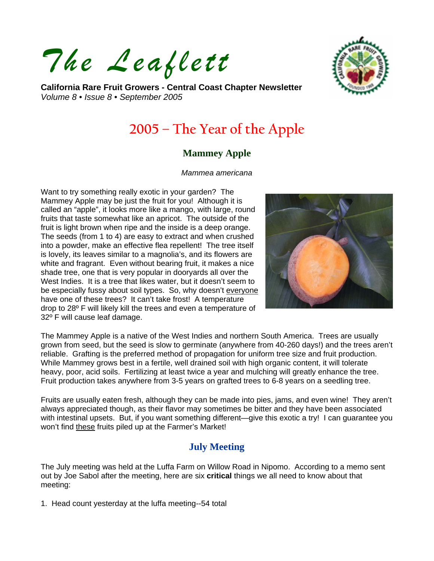*The Leaflett*

**California Rare Fruit Growers - Central Coast Chapter Newsletter**  *Volume 8 • Issue 8 • September 2005* 



# **2005 – The Year of the Apple**

### **Mammey Apple**

#### *Mammea americana*

Want to try something really exotic in your garden? The Mammey Apple may be just the fruit for you! Although it is called an "apple", it looks more like a mango, with large, round fruits that taste somewhat like an apricot. The outside of the fruit is light brown when ripe and the inside is a deep orange. The seeds (from 1 to 4) are easy to extract and when crushed into a powder, make an effective flea repellent! The tree itself is lovely, its leaves similar to a magnolia's, and its flowers are white and fragrant. Even without bearing fruit, it makes a nice shade tree, one that is very popular in dooryards all over the West Indies. It is a tree that likes water, but it doesn't seem to be especially fussy about soil types. So, why doesn't everyone have one of these trees? It can't take frost! A temperature drop to 28º F will likely kill the trees and even a temperature of 32º F will cause leaf damage.



The Mammey Apple is a native of the West Indies and northern South America. Trees are usually grown from seed, but the seed is slow to germinate (anywhere from 40-260 days!) and the trees aren't reliable. Grafting is the preferred method of propagation for uniform tree size and fruit production. While Mammey grows best in a fertile, well drained soil with high organic content, it will tolerate heavy, poor, acid soils. Fertilizing at least twice a year and mulching will greatly enhance the tree. Fruit production takes anywhere from 3-5 years on grafted trees to 6-8 years on a seedling tree.

Fruits are usually eaten fresh, although they can be made into pies, jams, and even wine! They aren't always appreciated though, as their flavor may sometimes be bitter and they have been associated with intestinal upsets. But, if you want something different—give this exotic a try! I can guarantee you won't find these fruits piled up at the Farmer's Market!

## **July Meeting**

The July meeting was held at the Luffa Farm on Willow Road in Nipomo. According to a memo sent out by Joe Sabol after the meeting, here are six **critical** things we all need to know about that meeting:

1. Head count yesterday at the luffa meeting--54 total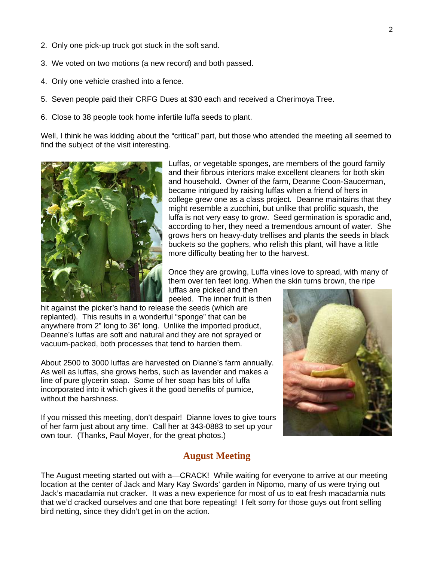- 2. Only one pick-up truck got stuck in the soft sand.
- 3. We voted on two motions (a new record) and both passed.
- 4. Only one vehicle crashed into a fence.
- 5. Seven people paid their CRFG Dues at \$30 each and received a Cherimoya Tree.
- 6. Close to 38 people took home infertile luffa seeds to plant.

Well, I think he was kidding about the "critical" part, but those who attended the meeting all seemed to find the subject of the visit interesting.



Luffas, or vegetable sponges, are members of the gourd family and their fibrous interiors make excellent cleaners for both skin and household. Owner of the farm, Deanne Coon-Saucerman, became intrigued by raising luffas when a friend of hers in college grew one as a class project. Deanne maintains that they might resemble a zucchini, but unlike that prolific squash, the luffa is not very easy to grow. Seed germination is sporadic and, according to her, they need a tremendous amount of water. She grows hers on heavy-duty trellises and plants the seeds in black buckets so the gophers, who relish this plant, will have a little more difficulty beating her to the harvest.

Once they are growing, Luffa vines love to spread, with many of them over ten feet long. When the skin turns brown, the ripe

luffas are picked and then peeled. The inner fruit is then

hit against the picker's hand to release the seeds (which are replanted). This results in a wonderful "sponge" that can be anywhere from 2" long to 36" long. Unlike the imported product, Deanne's luffas are soft and natural and they are not sprayed or vacuum-packed, both processes that tend to harden them.

About 2500 to 3000 luffas are harvested on Dianne's farm annually. As well as luffas, she grows herbs, such as lavender and makes a line of pure glycerin soap. Some of her soap has bits of luffa incorporated into it which gives it the good benefits of pumice, without the harshness.

If you missed this meeting, don't despair! Dianne loves to give tours of her farm just about any time. Call her at 343-0883 to set up your own tour. (Thanks, Paul Moyer, for the great photos.)

#### **August Meeting**



The August meeting started out with a—CRACK! While waiting for everyone to arrive at our meeting location at the center of Jack and Mary Kay Swords' garden in Nipomo, many of us were trying out Jack's macadamia nut cracker. It was a new experience for most of us to eat fresh macadamia nuts that we'd cracked ourselves and one that bore repeating! I felt sorry for those guys out front selling bird netting, since they didn't get in on the action.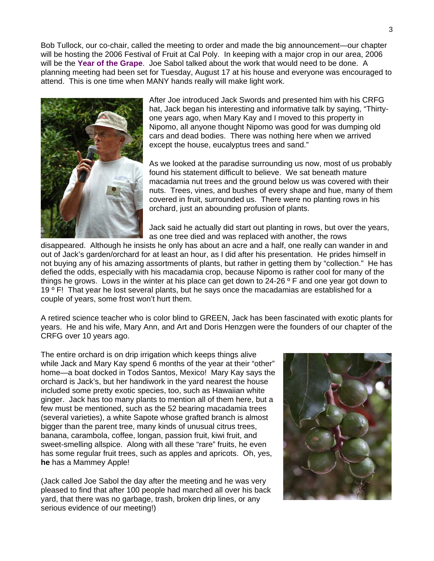Bob Tullock, our co-chair, called the meeting to order and made the big announcement—our chapter will be hosting the 2006 Festival of Fruit at Cal Poly. In keeping with a major crop in our area, 2006 will be the **Year of the Grape**. Joe Sabol talked about the work that would need to be done. A planning meeting had been set for Tuesday, August 17 at his house and everyone was encouraged to attend. This is one time when MANY hands really will make light work.



After Joe introduced Jack Swords and presented him with his CRFG hat, Jack began his interesting and informative talk by saying, "Thirtyone years ago, when Mary Kay and I moved to this property in Nipomo, all anyone thought Nipomo was good for was dumping old cars and dead bodies. There was nothing here when we arrived except the house, eucalyptus trees and sand."

As we looked at the paradise surrounding us now, most of us probably found his statement difficult to believe. We sat beneath mature macadamia nut trees and the ground below us was covered with their nuts. Trees, vines, and bushes of every shape and hue, many of them covered in fruit, surrounded us. There were no planting rows in his orchard, just an abounding profusion of plants.

Jack said he actually did start out planting in rows, but over the years, as one tree died and was replaced with another, the rows

disappeared. Although he insists he only has about an acre and a half, one really can wander in and out of Jack's garden/orchard for at least an hour, as I did after his presentation. He prides himself in not buying any of his amazing assortments of plants, but rather in getting them by "collection." He has defied the odds, especially with his macadamia crop, because Nipomo is rather cool for many of the things he grows. Lows in the winter at his place can get down to  $24-26$  ° F and one year got down to 19  $\degree$  F! That year he lost several plants, but he says once the macadamias are established for a couple of years, some frost won't hurt them.

A retired science teacher who is color blind to GREEN, Jack has been fascinated with exotic plants for years. He and his wife, Mary Ann, and Art and Doris Henzgen were the founders of our chapter of the CRFG over 10 years ago.

The entire orchard is on drip irrigation which keeps things alive while Jack and Mary Kay spend 6 months of the year at their "other" home—a boat docked in Todos Santos, Mexico! Mary Kay says the orchard is Jack's, but her handiwork in the yard nearest the house included some pretty exotic species, too, such as Hawaiian white ginger. Jack has too many plants to mention all of them here, but a few must be mentioned, such as the 52 bearing macadamia trees (several varieties), a white Sapote whose grafted branch is almost bigger than the parent tree, many kinds of unusual citrus trees, banana, carambola, coffee, longan, passion fruit, kiwi fruit, and sweet-smelling allspice. Along with all these "rare" fruits, he even has some regular fruit trees, such as apples and apricots. Oh, yes, **he** has a Mammey Apple!

(Jack called Joe Sabol the day after the meeting and he was very pleased to find that after 100 people had marched all over his back yard, that there was no garbage, trash, broken drip lines, or any serious evidence of our meeting!)

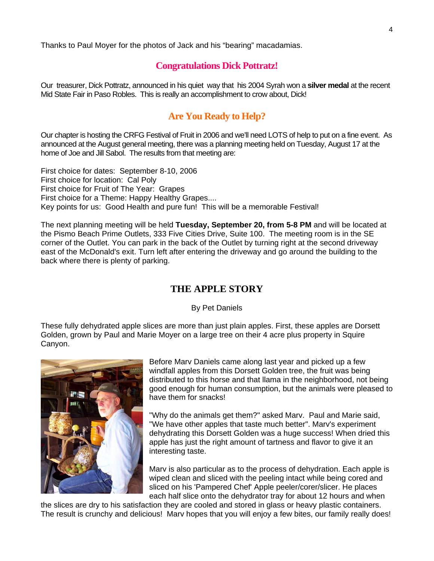Thanks to Paul Moyer for the photos of Jack and his "bearing" macadamias.

#### **Congratulations Dick Pottratz!**

Our treasurer, Dick Pottratz, announced in his quiet way that his 2004 Syrah won a **silver medal** at the recent Mid State Fair in Paso Robles. This is really an accomplishment to crow about, Dick!

### **Are You Ready to Help?**

Our chapter is hosting the CRFG Festival of Fruit in 2006 and we'll need LOTS of help to put on a fine event. As announced at the August general meeting, there was a planning meeting held on Tuesday, August 17 at the home of Joe and Jill Sabol. The results from that meeting are:

First choice for dates: September 8-10, 2006 First choice for location: Cal Poly First choice for Fruit of The Year: Grapes First choice for a Theme: Happy Healthy Grapes.... Key points for us: Good Health and pure fun! This will be a memorable Festival!

The next planning meeting will be held **Tuesday, September 20, from 5-8 PM** and will be located at the Pismo Beach Prime Outlets, 333 Five Cities Drive, Suite 100. The meeting room is in the SE corner of the Outlet. You can park in the back of the Outlet by turning right at the second driveway east of the McDonald's exit. Turn left after entering the driveway and go around the building to the back where there is plenty of parking.

#### **THE APPLE STORY**

By Pet Daniels

These fully dehydrated apple slices are more than just plain apples. First, these apples are Dorsett Golden, grown by Paul and Marie Moyer on a large tree on their 4 acre plus property in Squire Canyon.



Before Marv Daniels came along last year and picked up a few windfall apples from this Dorsett Golden tree, the fruit was being distributed to this horse and that llama in the neighborhood, not being good enough for human consumption, but the animals were pleased to have them for snacks!

"Why do the animals get them?" asked Marv. Paul and Marie said, "We have other apples that taste much better". Marv's experiment dehydrating this Dorsett Golden was a huge success! When dried this apple has just the right amount of tartness and flavor to give it an interesting taste.

Marv is also particular as to the process of dehydration. Each apple is wiped clean and sliced with the peeling intact while being cored and sliced on his 'Pampered Chef' Apple peeler/corer/slicer. He places each half slice onto the dehydrator tray for about 12 hours and when

the slices are dry to his satisfaction they are cooled and stored in glass or heavy plastic containers. The result is crunchy and delicious! Marv hopes that you will enjoy a few bites, our family really does!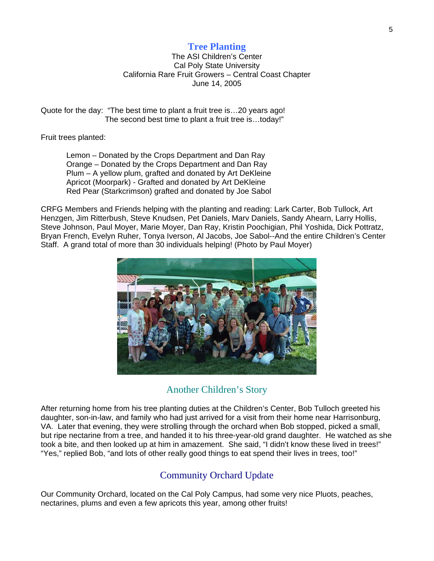#### **Tree Planting**

The ASI Children's Center Cal Poly State University California Rare Fruit Growers – Central Coast Chapter June 14, 2005

Quote for the day: "The best time to plant a fruit tree is…20 years ago! The second best time to plant a fruit tree is…today!"

Fruit trees planted:

 Lemon – Donated by the Crops Department and Dan Ray Orange – Donated by the Crops Department and Dan Ray Plum – A yellow plum, grafted and donated by Art DeKleine Apricot (Moorpark) - Grafted and donated by Art DeKleine Red Pear (Starkcrimson) grafted and donated by Joe Sabol

CRFG Members and Friends helping with the planting and reading: Lark Carter, Bob Tullock, Art Henzgen, Jim Ritterbush, Steve Knudsen, Pet Daniels, Marv Daniels, Sandy Ahearn, Larry Hollis, Steve Johnson, Paul Moyer, Marie Moyer, Dan Ray, Kristin Poochigian, Phil Yoshida, Dick Pottratz, Bryan French, Evelyn Ruher, Tonya Iverson, Al Jacobs, Joe Sabol--And the entire Children's Center Staff. A grand total of more than 30 individuals helping! (Photo by Paul Moyer)



#### Another Children's Story

After returning home from his tree planting duties at the Children's Center, Bob Tulloch greeted his daughter, son-in-law, and family who had just arrived for a visit from their home near Harrisonburg, VA. Later that evening, they were strolling through the orchard when Bob stopped, picked a small, but ripe nectarine from a tree, and handed it to his three-year-old grand daughter. He watched as she took a bite, and then looked up at him in amazement. She said, "I didn't know these lived in trees!" "Yes," replied Bob, "and lots of other really good things to eat spend their lives in trees, too!"

# Community Orchard Update

Our Community Orchard, located on the Cal Poly Campus, had some very nice Pluots, peaches, nectarines, plums and even a few apricots this year, among other fruits!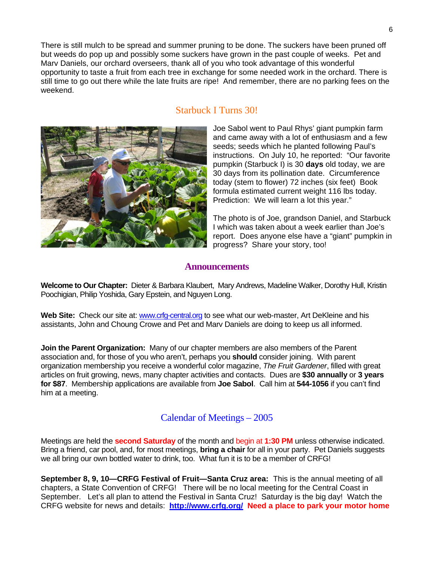There is still mulch to be spread and summer pruning to be done. The suckers have been pruned off but weeds do pop up and possibly some suckers have grown in the past couple of weeks. Pet and Marv Daniels, our orchard overseers, thank all of you who took advantage of this wonderful opportunity to taste a fruit from each tree in exchange for some needed work in the orchard. There is still time to go out there while the late fruits are ripe! And remember, there are no parking fees on the weekend.

#### Starbuck I Turns 30!

Joe Sabol went to Paul Rhys' giant pumpkin farm and came away with a lot of enthusiasm and a few seeds; seeds which he planted following Paul's instructions. On July 10, he reported: "Our favorite pumpkin (Starbuck I) is 30 **days** old today, we are 30 days from its pollination date. Circumference today (stem to flower) 72 inches (six feet) Book formula estimated current weight 116 lbs today. Prediction: We will learn a lot this year."

The photo is of Joe, grandson Daniel, and Starbuck I which was taken about a week earlier than Joe's report. Does anyone else have a "giant" pumpkin in progress? Share your story, too!

#### **Announcements**

**Welcome to Our Chapter:** Dieter & Barbara Klaubert, Mary Andrews, Madeline Walker, Dorothy Hull, Kristin Poochigian, Philip Yoshida, Gary Epstein, and Nguyen Long.

Web Site: Check our site at: [www.crfg-central.org](http://www.crfg-central.org/) to see what our web-master, Art DeKleine and his assistants, John and Choung Crowe and Pet and Marv Daniels are doing to keep us all informed.

**Join the Parent Organization:** Many of our chapter members are also members of the Parent association and, for those of you who aren't, perhaps you **should** consider joining. With parent organization membership you receive a wonderful color magazine, *The Fruit Gardener*, filled with great articles on fruit growing, news, many chapter activities and contacts. Dues are **\$30 annually** or **3 years for \$87**. Membership applications are available from **Joe Sabol**. Call him at **544-1056** if you can't find him at a meeting.

### Calendar of Meetings – 2005

Meetings are held the **second Saturday** of the month and begin at **1:30 PM** unless otherwise indicated. Bring a friend, car pool, and, for most meetings, **bring a chair** for all in your party. Pet Daniels suggests we all bring our own bottled water to drink, too. What fun it is to be a member of CRFG!

**September 8, 9, 10—CRFG Festival of Fruit—Santa Cruz area:** This is the annual meeting of all chapters, a State Convention of CRFG! There will be no local meeting for the Central Coast in September. Let's all plan to attend the Festival in Santa Cruz! Saturday is the big day! Watch the CRFG website for news and details: **<http://www.crfg.org/> Need a place to park your motor home**